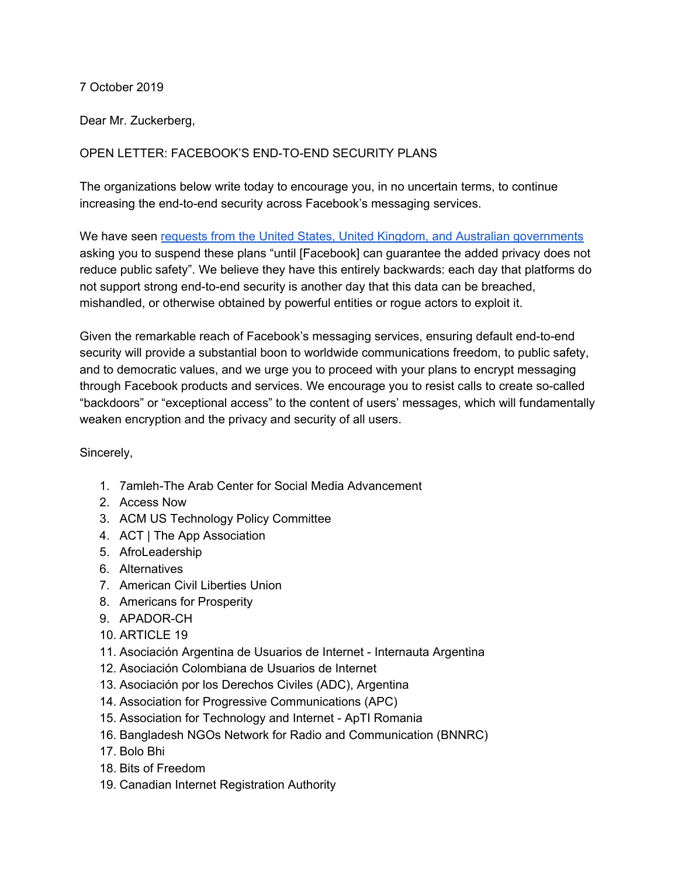## 7 October 2019

Dear Mr. Zuckerberg,

## OPEN LETTER: FACEBOOK'S END-TO-END SECURITY PLANS

The organizations below write today to encourage you, in no uncertain terms, to continue increasing the end-to-end security across Facebook's messaging services.

We have seen requests from the United States, United Kingdom, and Australian [governments](https://cdt.org/files/2019/10/US-UK-Australia-letter-to-Zuckerberg-10-4-19.pdf) asking you to suspend these plans "until [Facebook] can guarantee the added privacy does not reduce public safety". We believe they have this entirely backwards: each day that platforms do not support strong end-to-end security is another day that this data can be breached, mishandled, or otherwise obtained by powerful entities or rogue actors to exploit it.

Given the remarkable reach of Facebook's messaging services, ensuring default end-to-end security will provide a substantial boon to worldwide communications freedom, to public safety, and to democratic values, and we urge you to proceed with your plans to encrypt messaging through Facebook products and services. We encourage you to resist calls to create so-called "backdoors" or "exceptional access" to the content of users' messages, which will fundamentally weaken encryption and the privacy and security of all users.

## Sincerely,

- 1. 7amleh-The Arab Center for Social Media Advancement
- 2. Access Now
- 3. ACM US Technology Policy Committee
- 4. ACT | The App Association
- 5. AfroLeadership
- 6. Alternatives
- 7. American Civil Liberties Union
- 8. Americans for Prosperity
- 9. APADOR-CH
- 10. ARTICLE 19
- 11. Asociación Argentina de Usuarios de Internet Internauta Argentina
- 12. Asociación Colombiana de Usuarios de Internet
- 13. Asociación por los Derechos Civiles (ADC), Argentina
- 14. Association for Progressive Communications (APC)
- 15. Association for Technology and Internet ApTI Romania
- 16. Bangladesh NGOs Network for Radio and Communication (BNNRC)
- 17. Bolo Bhi
- 18. Bits of Freedom
- 19. Canadian Internet Registration Authority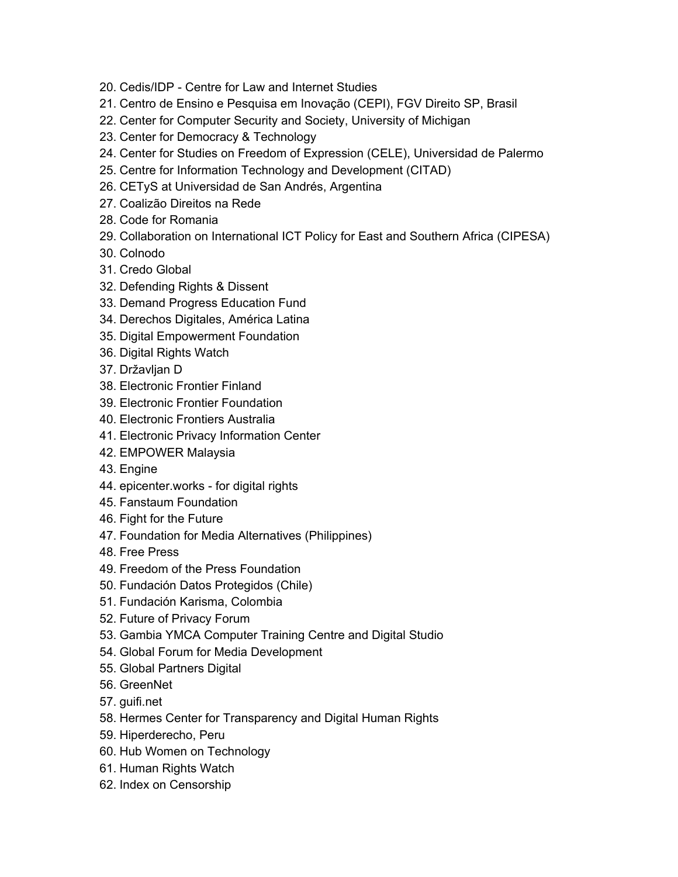- 20. Cedis/IDP Centre for Law and Internet Studies
- 21. Centro de Ensino e Pesquisa em Inovação (CEPI), FGV Direito SP, Brasil
- 22. Center for Computer Security and Society, University of Michigan
- 23. Center for Democracy & Technology
- 24. Center for Studies on Freedom of Expression (CELE), Universidad de Palermo
- 25. Centre for Information Technology and Development (CITAD)
- 26. CETyS at Universidad de San Andrés, Argentina
- 27. Coalizão Direitos na Rede
- 28. Code for Romania
- 29. Collaboration on International ICT Policy for East and Southern Africa (CIPESA)
- 30. Colnodo
- 31. Credo Global
- 32. Defending Rights & Dissent
- 33. Demand Progress Education Fund
- 34. Derechos Digitales, América Latina
- 35. Digital Empowerment Foundation
- 36. Digital Rights Watch
- 37. Državljan D
- 38. Electronic Frontier Finland
- 39. Electronic Frontier Foundation
- 40. Electronic Frontiers Australia
- 41. Electronic Privacy Information Center
- 42. EMPOWER Malaysia
- 43. Engine
- 44. epicenter.works for digital rights
- 45. Fanstaum Foundation
- 46. Fight for the Future
- 47. Foundation for Media Alternatives (Philippines)
- 48. Free Press
- 49. Freedom of the Press Foundation
- 50. Fundación Datos Protegidos (Chile)
- 51. Fundación Karisma, Colombia
- 52. Future of Privacy Forum
- 53. Gambia YMCA Computer Training Centre and Digital Studio
- 54. Global Forum for Media Development
- 55. Global Partners Digital
- 56. GreenNet
- 57. guifi.net
- 58. Hermes Center for Transparency and Digital Human Rights
- 59. Hiperderecho, Peru
- 60. Hub Women on Technology
- 61. Human Rights Watch
- 62. Index on Censorship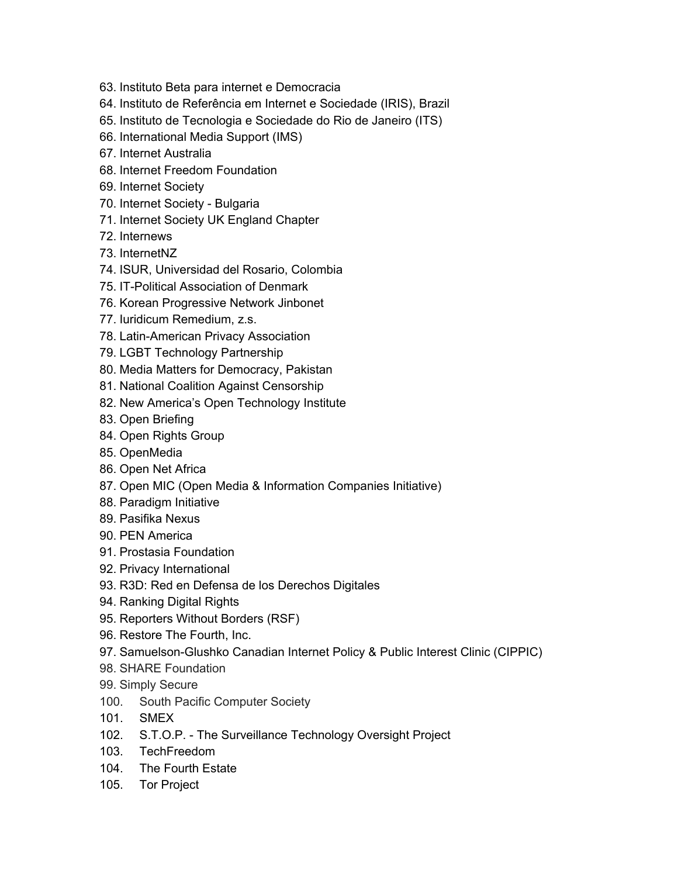- 63. Instituto Beta para internet e Democracia
- 64. Instituto de Referência em Internet e Sociedade (IRIS), Brazil
- 65. Instituto de Tecnologia e Sociedade do Rio de Janeiro (ITS)
- 66. International Media Support (IMS)
- 67. Internet Australia
- 68. Internet Freedom Foundation
- 69. Internet Society
- 70. Internet Society Bulgaria
- 71. Internet Society UK England Chapter
- 72. Internews
- 73. InternetNZ
- 74. ISUR, Universidad del Rosario, Colombia
- 75. IT-Political Association of Denmark
- 76. Korean Progressive Network Jinbonet
- 77. Iuridicum Remedium, z.s.
- 78. Latin-American Privacy Association
- 79. LGBT Technology Partnership
- 80. Media Matters for Democracy, Pakistan
- 81. National Coalition Against Censorship
- 82. New America's Open Technology Institute
- 83. Open Briefing
- 84. Open Rights Group
- 85. OpenMedia
- 86. Open Net Africa
- 87. Open MIC (Open Media & Information Companies Initiative)
- 88. Paradigm Initiative
- 89. Pasifika Nexus
- 90. PEN America
- 91. Prostasia Foundation
- 92. Privacy International
- 93. R3D: Red en Defensa de los Derechos Digitales
- 94. Ranking Digital Rights
- 95. Reporters Without Borders (RSF)
- 96. Restore The Fourth, Inc.
- 97. Samuelson-Glushko Canadian Internet Policy & Public Interest Clinic (CIPPIC)
- 98. SHARE Foundation
- 99. Simply Secure
- 100. South Pacific Computer Society
- 101. SMEX
- 102. S.T.O.P. The Surveillance Technology Oversight Project
- 103. TechFreedom
- 104. The Fourth Estate
- 105. Tor Project